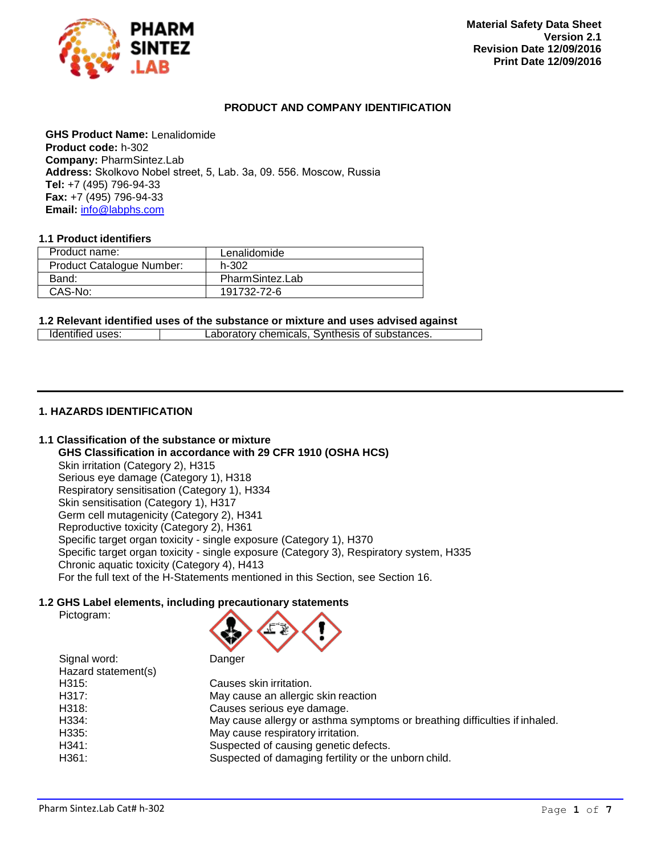

## <span id="page-0-2"></span><span id="page-0-0"></span>**PRODUCT AND COMPANY IDENTIFICATION**

**GHS Product Name:** Lenalidomide **Product code:** h-302 **Company:** PharmSintez.Lab **Address:** Skolkovo Nobel street, 5, Lab. 3а, 09. 556. Moscow, Russia **Tel:** +7 (495) 796-94-33 **Fax:** +7 (495) 796-94-33 **Email:** [info@labphs.com](mailto:info@labphs.com)

## **1.1 Product identifiers**

| Product name:             | Lenalidomide    |
|---------------------------|-----------------|
| Product Catalogue Number: | h-302           |
| Band:                     | PharmSintez.Lab |
| CAS-No:                   | 191732-72-6     |

<span id="page-0-1"></span>**1.2 Relevant identified uses of the substance or mixture and uses advised against**

|  | Identified uses: | Laboratory chemicals. Synthesis of substances. |
|--|------------------|------------------------------------------------|
|--|------------------|------------------------------------------------|

## **1. HAZARDS IDENTIFICATION**

## **1.1 Classification of the substance or mixture**

**GHS Classification in accordance with 29 CFR 1910 (OSHA HCS)** Skin irritation (Category 2), H315 Serious eye damage (Category 1), H318 Respiratory sensitisation (Category 1), H334 Skin sensitisation (Category 1), H317 Germ cell mutagenicity (Category 2), H341 Reproductive toxicity (Category 2), H361 Specific target organ toxicity - single exposure (Category 1), H370 Specific target organ toxicity - single exposure (Category 3), Respiratory system, H335 Chronic aquatic toxicity (Category 4), H413 For the full text of the H-Statements mentioned in this Section, see Section 16.

### **1.2 GHS Label elements, including precautionary statements**

| Pictogram: |
|------------|
|            |



| Signal word:        | Danger                                                                     |
|---------------------|----------------------------------------------------------------------------|
| Hazard statement(s) |                                                                            |
| H315:               | Causes skin irritation.                                                    |
| H317:               | May cause an allergic skin reaction                                        |
| H318:               | Causes serious eye damage.                                                 |
| H334:               | May cause allergy or asthma symptoms or breathing difficulties if inhaled. |
| H335:               | May cause respiratory irritation.                                          |
| H341:               | Suspected of causing genetic defects.                                      |
| H361:               | Suspected of damaging fertility or the unborn child.                       |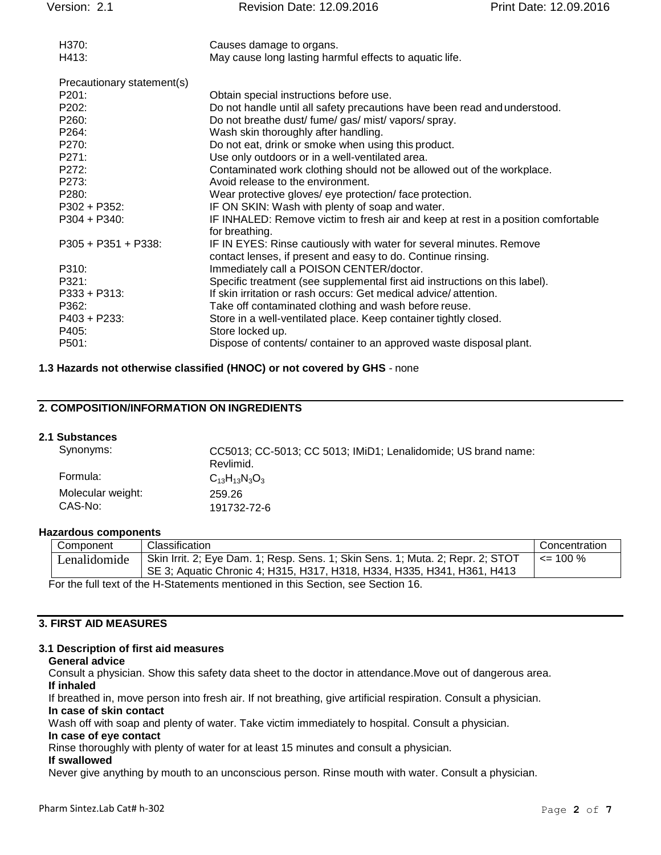| Version: 2.1               | Revision Date: 12.09.2016                                                                                                           | Print Date: 12.09.2016 |
|----------------------------|-------------------------------------------------------------------------------------------------------------------------------------|------------------------|
| H370:                      | Causes damage to organs.                                                                                                            |                        |
| H413:                      | May cause long lasting harmful effects to aquatic life.                                                                             |                        |
| Precautionary statement(s) |                                                                                                                                     |                        |
| P201:                      | Obtain special instructions before use.                                                                                             |                        |
| P202:                      | Do not handle until all safety precautions have been read and understood.                                                           |                        |
| P260:                      | Do not breathe dust/ fume/ gas/ mist/ vapors/ spray.                                                                                |                        |
| P264:                      | Wash skin thoroughly after handling.                                                                                                |                        |
| P270:                      | Do not eat, drink or smoke when using this product.                                                                                 |                        |
| P271:                      | Use only outdoors or in a well-ventilated area.                                                                                     |                        |
| P272:                      | Contaminated work clothing should not be allowed out of the workplace.                                                              |                        |
| P273:                      | Avoid release to the environment.                                                                                                   |                        |
| P280:                      | Wear protective gloves/ eye protection/ face protection.                                                                            |                        |
| $P302 + P352$ :            | IF ON SKIN: Wash with plenty of soap and water.                                                                                     |                        |
| $P304 + P340$ :            | IF INHALED: Remove victim to fresh air and keep at rest in a position comfortable<br>for breathing.                                 |                        |
| P305 + P351 + P338:        | IF IN EYES: Rinse cautiously with water for several minutes. Remove<br>contact lenses, if present and easy to do. Continue rinsing. |                        |
| P310:                      | Immediately call a POISON CENTER/doctor.                                                                                            |                        |
| P321:                      | Specific treatment (see supplemental first aid instructions on this label).                                                         |                        |
| $P333 + P313$              | If skin irritation or rash occurs: Get medical advice/attention.                                                                    |                        |
| P362:                      | Take off contaminated clothing and wash before reuse.                                                                               |                        |
| $P403 + P233$ :            | Store in a well-ventilated place. Keep container tightly closed.                                                                    |                        |
| P405:                      | Store locked up.                                                                                                                    |                        |
| P501:                      | Dispose of contents/ container to an approved waste disposal plant.                                                                 |                        |

## **1.3 Hazards not otherwise classified (HNOC) or not covered by GHS** - none

## **2. COMPOSITION/INFORMATION ON INGREDIENTS**

## **2.1 Substances**

| Synonyms:         | CC5013; CC-5013; CC 5013; IMiD1; Lenalidomide; US brand name:<br>Revlimid. |
|-------------------|----------------------------------------------------------------------------|
| Formula:          | $C_{13}H_{13}N_3O_3$                                                       |
| Molecular weight: | 259.26                                                                     |
| CAS-No:           | 191732-72-6                                                                |

## **Hazardous components**

| Component    | Classification                                                                                                                                            | Concentration |
|--------------|-----------------------------------------------------------------------------------------------------------------------------------------------------------|---------------|
| Lenalidomide | Skin Irrit. 2; Eye Dam. 1; Resp. Sens. 1; Skin Sens. 1; Muta. 2; Repr. 2; STOT<br>SE 3; Aquatic Chronic 4; H315, H317, H318, H334, H335, H341, H361, H413 | $\leq$ 100 %  |
|              | For the full text of the H-Statements mentioned in this Section see Section 16                                                                            |               |

or the full text of the H-Statements mentioned in this Section, see Section 16.

## **3. FIRST AID MEASURES**

#### **3.1 Description of first aid measures**

#### **General advice**

Consult a physician. Show this safety data sheet to the doctor in attendance.Move out of dangerous area. **If inhaled**

If breathed in, move person into fresh air. If not breathing, give artificial respiration. Consult a physician. **In case of skin contact**

Wash off with soap and plenty of water. Take victim immediately to hospital. Consult a physician.

#### **In case of eye contact**

Rinse thoroughly with plenty of water for at least 15 minutes and consult a physician.

## **If swallowed**

Never give anything by mouth to an unconscious person. Rinse mouth with water. Consult a physician.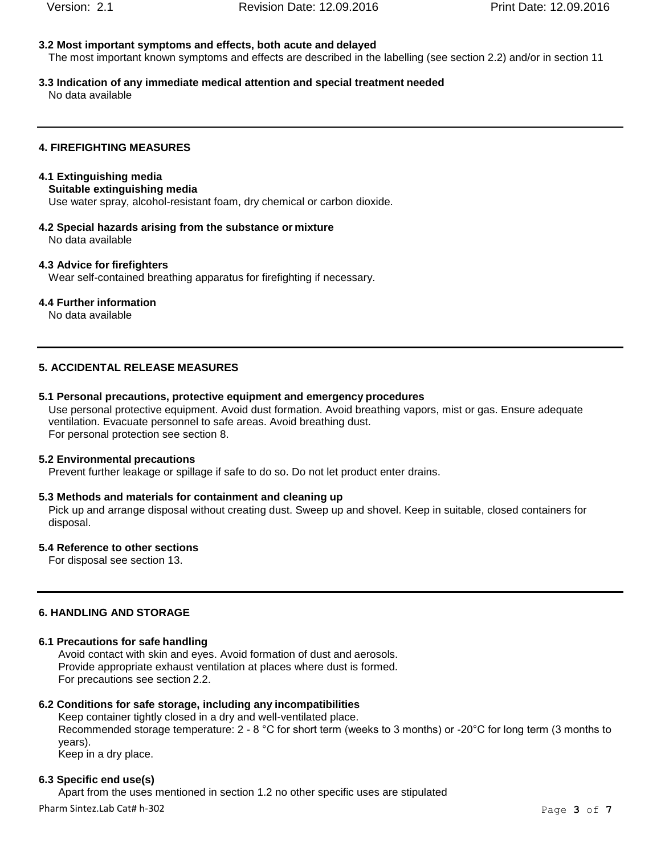## **3.2 Most important symptoms and effects, both acute and delayed**

The most important known symptoms and effects are described in the labelling (see section 2.2) and/or in section 11

**3.3 Indication of any immediate medical attention and special treatment needed** No data available

## **4. FIREFIGHTING MEASURES**

## **4.1 Extinguishing media**

## **Suitable extinguishing media**

Use water spray, alcohol-resistant foam, dry chemical or carbon dioxide.

**4.2 Special hazards arising from the substance or mixture** No data available

### **4.3 Advice for firefighters**

Wear self-contained breathing apparatus for firefighting if necessary.

### **4.4 Further information**

No data available

## **5. ACCIDENTAL RELEASE MEASURES**

#### **5.1 Personal precautions, protective equipment and emergency procedures**

Use personal protective equipment. Avoid dust formation. Avoid breathing vapors, mist or gas. Ensure adequate ventilation. Evacuate personnel to safe areas. Avoid breathing dust. For personal protection see section 8.

#### **5.2 Environmental precautions**

Prevent further leakage or spillage if safe to do so. Do not let product enter drains.

### **5.3 Methods and materials for containment and cleaning up**

Pick up and arrange disposal without creating dust. Sweep up and shovel. Keep in suitable, closed containers for disposal.

## **5.4 Reference to other sections**

For disposal see section 13.

## **6. HANDLING AND STORAGE**

## **6.1 Precautions for safe handling**

Avoid contact with skin and eyes. Avoid formation of dust and aerosols. Provide appropriate exhaust ventilation at places where dust is formed. For precautions see section 2.2.

### **6.2 Conditions for safe storage, including any incompatibilities**

Keep container tightly closed in a dry and well-ventilated place. Recommended storage temperature: 2 - 8 °C for short term (weeks to 3 months) or -20°C for long term (3 months to years).

Keep in a dry place.

### **6.3 Specific end use(s)**

Apart from the uses mentioned in section 1.2 no other specific uses are stipulated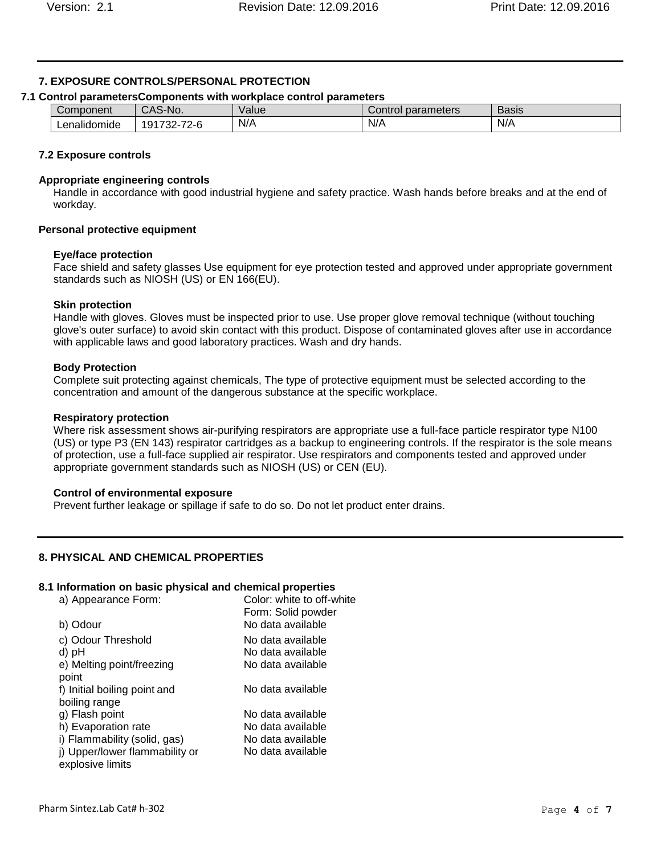## **7. EXPOSURE CONTROLS/PERSONAL PROTECTION**

## **7.1 Control parametersComponents with workplace control parameters**

| Component        | CAS<br>S-No.                                                          | Value | parameters<br>Control | $\overline{\phantom{0}}$<br>Basis |
|------------------|-----------------------------------------------------------------------|-------|-----------------------|-----------------------------------|
| <br>Lenalidomide | 70 <sub>0</sub><br>$\sim$<br>⊸∼<br>'9،<br>ノート<br>. .<br>ັ<br><u>_</u> | N/A   | N/A                   | N/A                               |

## **7.2 Exposure controls**

## **Appropriate engineering controls**

Handle in accordance with good industrial hygiene and safety practice. Wash hands before breaks and at the end of workday.

## **Personal protective equipment**

## **Eye/face protection**

Face shield and safety glasses Use equipment for eye protection tested and approved under appropriate government standards such as NIOSH (US) or EN 166(EU).

## **Skin protection**

Handle with gloves. Gloves must be inspected prior to use. Use proper glove removal technique (without touching glove's outer surface) to avoid skin contact with this product. Dispose of contaminated gloves after use in accordance with applicable laws and good laboratory practices. Wash and dry hands.

## **Body Protection**

Complete suit protecting against chemicals, The type of protective equipment must be selected according to the concentration and amount of the dangerous substance at the specific workplace.

## **Respiratory protection**

Where risk assessment shows air-purifying respirators are appropriate use a full-face particle respirator type N100 (US) or type P3 (EN 143) respirator cartridges as a backup to engineering controls. If the respirator is the sole means of protection, use a full-face supplied air respirator. Use respirators and components tested and approved under appropriate government standards such as NIOSH (US) or CEN (EU).

## **Control of environmental exposure**

Prevent further leakage or spillage if safe to do so. Do not let product enter drains.

## **8. PHYSICAL AND CHEMICAL PROPERTIES**

## **8.1 Information on basic physical and chemical properties**

| a) Appearance Form:                                | Color: white to off-white<br>Form: Solid powder |
|----------------------------------------------------|-------------------------------------------------|
| b) Odour                                           | No data available                               |
| c) Odour Threshold                                 | No data available                               |
| d) pH                                              | No data available                               |
| e) Melting point/freezing<br>point                 | No data available                               |
| f) Initial boiling point and<br>boiling range      | No data available                               |
| g) Flash point                                     | No data available                               |
| h) Evaporation rate                                | No data available                               |
| i) Flammability (solid, gas)                       | No data available                               |
| j) Upper/lower flammability or<br>explosive limits | No data available                               |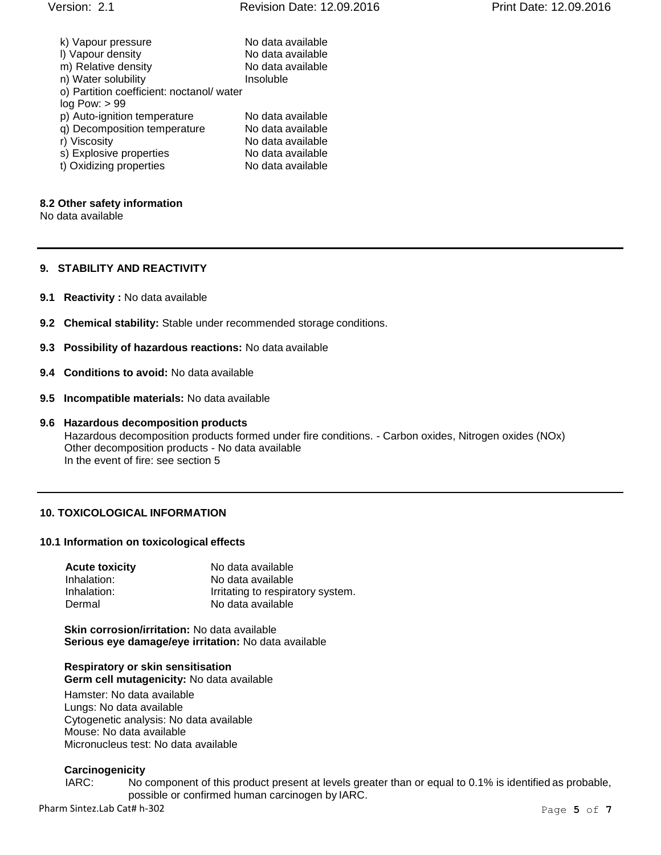| k) Vapour pressure<br>I) Vapour density  | No data available<br>No data available |
|------------------------------------------|----------------------------------------|
| m) Relative density                      | No data available                      |
| n) Water solubility                      | Insoluble                              |
| o) Partition coefficient: noctanol/water |                                        |
| log Pow: > 99                            |                                        |
| p) Auto-ignition temperature             | No data available                      |
| q) Decomposition temperature             | No data available                      |
| r) Viscosity                             | No data available                      |
| s) Explosive properties                  | No data available                      |
| t) Oxidizing properties                  | No data available                      |

#### **8.2 Other safety information**

No data available

## **9. STABILITY AND REACTIVITY**

- **9.1 Reactivity :** No data available
- **9.2 Chemical stability:** Stable under recommended storage conditions.
- **9.3 Possibility of hazardous reactions:** No data available
- **9.4 Conditions to avoid:** No data available
- **9.5 Incompatible materials:** No data available

### **9.6 Hazardous decomposition products** Hazardous decomposition products formed under fire conditions. - Carbon oxides, Nitrogen oxides (NOx) Other decomposition products - No data available In the event of fire: see section 5

### **10. TOXICOLOGICAL INFORMATION**

#### **10.1 Information on toxicological effects**

| <b>Acute toxicity</b> | No data available                 |
|-----------------------|-----------------------------------|
| Inhalation:           | No data available                 |
| Inhalation:           | Irritating to respiratory system. |
| Dermal                | No data available                 |

**Skin corrosion/irritation:** No data available **Serious eye damage/eye irritation:** No data available

#### **Respiratory or skin sensitisation Germ cell mutagenicity:** No data available

Hamster: No data available Lungs: No data available Cytogenetic analysis: No data available Mouse: No data available Micronucleus test: No data available

### **Carcinogenicity**

IARC: No component of this product present at levels greater than or equal to 0.1% is identified as probable, possible or confirmed human carcinogen by IARC.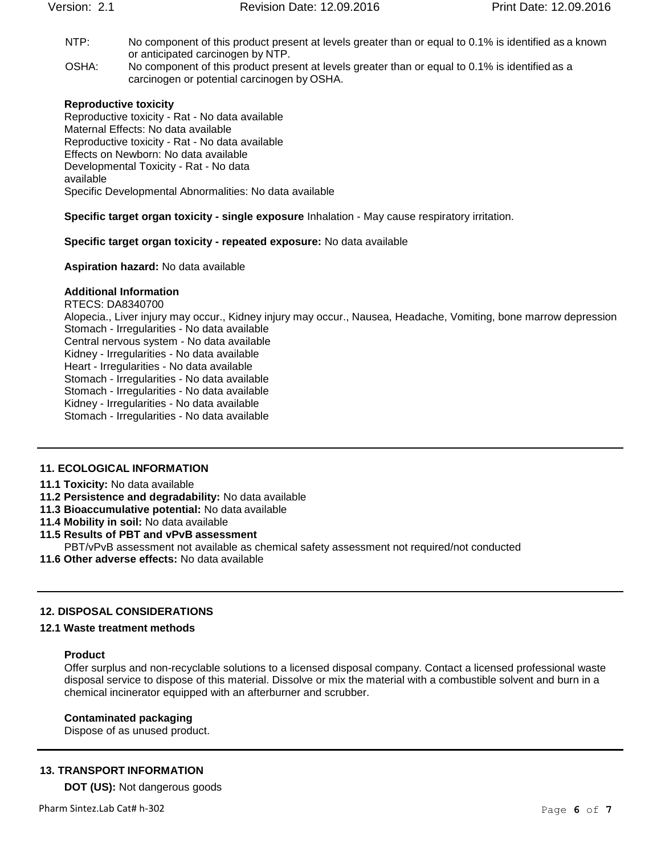- NTP: No component of this product present at levels greater than or equal to 0.1% is identified as a known or anticipated carcinogen by NTP.
- OSHA: No component of this product present at levels greater than or equal to 0.1% is identified as a carcinogen or potential carcinogen by OSHA.

## **Reproductive toxicity**

Reproductive toxicity - Rat - No data available Maternal Effects: No data available Reproductive toxicity - Rat - No data available Effects on Newborn: No data available Developmental Toxicity - Rat - No data available Specific Developmental Abnormalities: No data available

**Specific target organ toxicity - single exposure** Inhalation - May cause respiratory irritation.

### **Specific target organ toxicity - repeated exposure:** No data available

## **Aspiration hazard:** No data available

## **Additional Information**

RTECS: DA8340700 Alopecia., Liver injury may occur., Kidney injury may occur., Nausea, Headache, Vomiting, bone marrow depression Stomach - Irregularities - No data available Central nervous system - No data available Kidney - Irregularities - No data available Heart - Irregularities - No data available Stomach - Irregularities - No data available Stomach - Irregularities - No data available Kidney - Irregularities - No data available Stomach - Irregularities - No data available

### **11. ECOLOGICAL INFORMATION**

### **11.1 Toxicity:** No data available

- **11.2 Persistence and degradability:** No data available
- **11.3 Bioaccumulative potential:** No data available
- **11.4 Mobility in soil:** No data available

# **11.5 Results of PBT and vPvB assessment**

- PBT/vPvB assessment not available as chemical safety assessment not required/not conducted
- **11.6 Other adverse effects:** No data available

## **12. DISPOSAL CONSIDERATIONS**

## **12.1 Waste treatment methods**

### **Product**

Offer surplus and non-recyclable solutions to a licensed disposal company. Contact a licensed professional waste disposal service to dispose of this material. Dissolve or mix the material with a combustible solvent and burn in a chemical incinerator equipped with an afterburner and scrubber.

## **Contaminated packaging**

Dispose of as unused product.

### **13. TRANSPORT INFORMATION**

**DOT (US):** Not dangerous goods